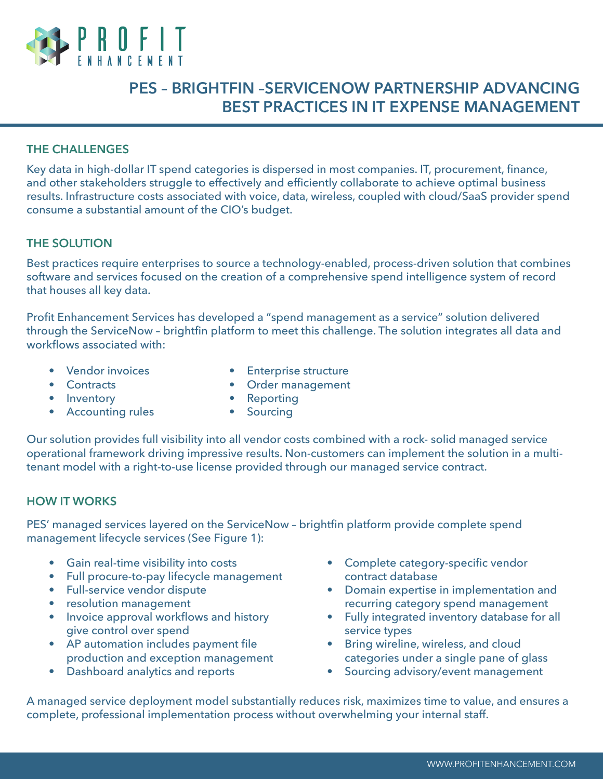

# **PES – BRIGHTFIN –SERVICENOW PARTNERSHIP ADVANCING BEST PRACTICES IN IT EXPENSE MANAGEMENT**

## **THE CHALLENGES**

Key data in high-dollar IT spend categories is dispersed in most companies. IT, procurement, finance, and other stakeholders struggle to effectively and efficiently collaborate to achieve optimal business results. Infrastructure costs associated with voice, data, wireless, coupled with cloud/SaaS provider spend consume a substantial amount of the CIO's budget.

#### **THE SOLUTION**

Best practices require enterprises to source a technology-enabled, process-driven solution that combines software and services focused on the creation of a comprehensive spend intelligence system of record that houses all key data.

Profit Enhancement Services has developed a "spend management as a service" solution delivered through the ServiceNow – brightfin platform to meet this challenge. The solution integrates all data and workflows associated with:

- Vendor invoices
- Enterprise structure

• Contracts

• Order management

- Inventory
- Accounting rules
- Reporting
- Sourcing

Our solution provides full visibility into all vendor costs combined with a rock- solid managed service operational framework driving impressive results. Non-customers can implement the solution in a multitenant model with a right-to-use license provided through our managed service contract.

### **HOW IT WORKS**

PES' managed services layered on the ServiceNow – brightfin platform provide complete spend management lifecycle services (See Figure 1):

- Gain real-time visibility into costs
- Full procure-to-pay lifecycle management
- Full-service vendor dispute
- resolution management
- Invoice approval workflows and history give control over spend
- AP automation includes payment file production and exception management
- Dashboard analytics and reports
- Complete category-specific vendor contract database
- Domain expertise in implementation and recurring category spend management
- Fully integrated inventory database for all service types
- Bring wireline, wireless, and cloud categories under a single pane of glass
- Sourcing advisory/event management

A managed service deployment model substantially reduces risk, maximizes time to value, and ensures a complete, professional implementation process without overwhelming your internal staff.